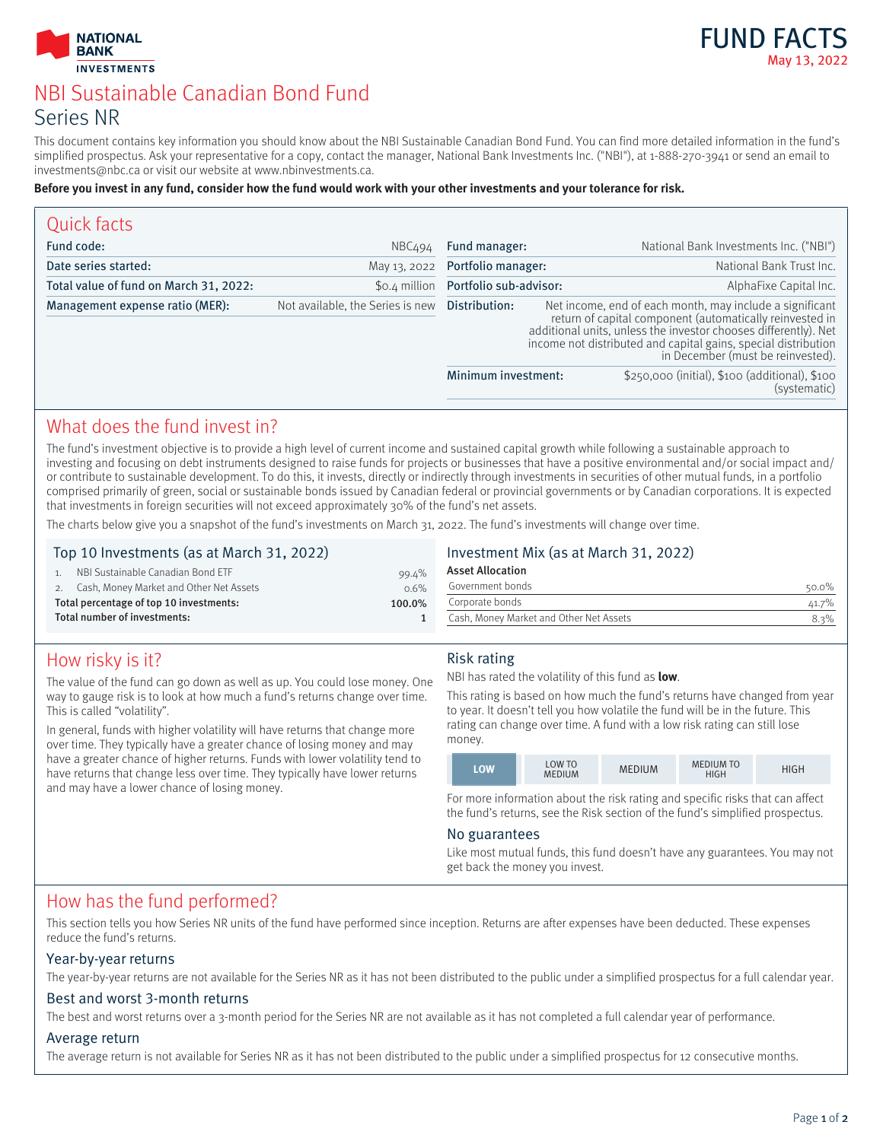



# NBI Sustainable Canadian Bond Fund Series NR

This document contains key information you should know about the NBI Sustainable Canadian Bond Fund. You can find more detailed information in the fund's simplified prospectus. Ask your representative for a copy, contact the manager, National Bank Investments Inc. ("NBI"), at 1-888-270-3941 or send an email to investments@nbc.ca or visit our website at www.nbinvestments.ca.

#### **Before you invest in any fund, consider how the fund would work with your other investments and your tolerance for risk.**

| <b>Quick facts</b>                     |                                                |                                      |                                                                                                                                                                                                                                                                                                |
|----------------------------------------|------------------------------------------------|--------------------------------------|------------------------------------------------------------------------------------------------------------------------------------------------------------------------------------------------------------------------------------------------------------------------------------------------|
| Fund code:                             | NBC494                                         | Fund manager:                        | National Bank Investments Inc. ("NBI")                                                                                                                                                                                                                                                         |
| Date series started:                   | May 13, 2022                                   | Portfolio manager:                   | National Bank Trust Inc.                                                                                                                                                                                                                                                                       |
| Total value of fund on March 31, 2022: |                                                | \$0.4 million Portfolio sub-advisor: | AlphaFixe Capital Inc.                                                                                                                                                                                                                                                                         |
| Management expense ratio (MER):        | Not available, the Series is new Distribution: |                                      | Net income, end of each month, may include a significant<br>return of capital component (automatically reinvested in<br>additional units, unless the investor chooses differently). Net<br>income not distributed and capital gains, special distribution<br>in December (must be reinvested). |
|                                        |                                                | Minimum investment:                  | \$250,000 (initial), \$100 (additional), \$100<br>(systematic)                                                                                                                                                                                                                                 |

### What does the fund invest in?

The fund's investment objective is to provide a high level of current income and sustained capital growth while following a sustainable approach to investing and focusing on debt instruments designed to raise funds for projects or businesses that have a positive environmental and/or social impact and/ or contribute to sustainable development. To do this, it invests, directly or indirectly through investments in securities of other mutual funds, in a portfolio comprised primarily of green, social or sustainable bonds issued by Canadian federal or provincial governments or by Canadian corporations. It is expected that investments in foreign securities will not exceed approximately 30% of the fund's net assets.

The charts below give you a snapshot of the fund's investments on March 31, 2022. The fund's investments will change over time.

## Top 10 Investments (as at March 31, 2022)

| Total number of investments:            |  |                                         | 1      |
|-----------------------------------------|--|-----------------------------------------|--------|
| Total percentage of top 10 investments: |  |                                         | 100.0% |
|                                         |  | Cash, Money Market and Other Net Assets | 0.6%   |
|                                         |  | NBI Sustainable Canadian Bond ETF       | 99.4%  |

## How risky is it?

The value of the fund can go down as well as up. You could lose money. One way to gauge risk is to look at how much a fund's returns change over time. This is called "volatility".

In general, funds with higher volatility will have returns that change more over time. They typically have a greater chance of losing money and may have a greater chance of higher returns. Funds with lower volatility tend to have returns that change less over time. They typically have lower returns and may have a lower chance of losing money.

### Investment Mix (as at March 31, 2022)

### Asset Allocation

| Government bonds                        | 50.0%   |
|-----------------------------------------|---------|
| Corporate bonds                         | 41.7%   |
| Cash, Money Market and Other Net Assets | $8.3\%$ |

#### Risk rating

NBI has rated the volatility of this fund as **low**.

This rating is based on how much the fund's returns have changed from year to year. It doesn't tell you how volatile the fund will be in the future. This rating can change over time. A fund with a low risk rating can still lose money.

For more information about the risk rating and specific risks that can affect the fund's returns, see the Risk section of the fund's simplified prospectus.

#### No guarantees

Like most mutual funds, this fund doesn't have any guarantees. You may not get back the money you invest.

### How has the fund performed?

This section tells you how Series NR units of the fund have performed since inception. Returns are after expenses have been deducted. These expenses reduce the fund's returns.

#### Year-by-year returns

The year-by-year returns are not available for the Series NR as it has not been distributed to the public under a simplified prospectus for a full calendar year.

#### Best and worst 3-month returns

The best and worst returns over a 3-month period for the Series NR are not available as it has not completed a full calendar year of performance.

#### Average return

The average return is not available for Series NR as it has not been distributed to the public under a simplified prospectus for 12 consecutive months.